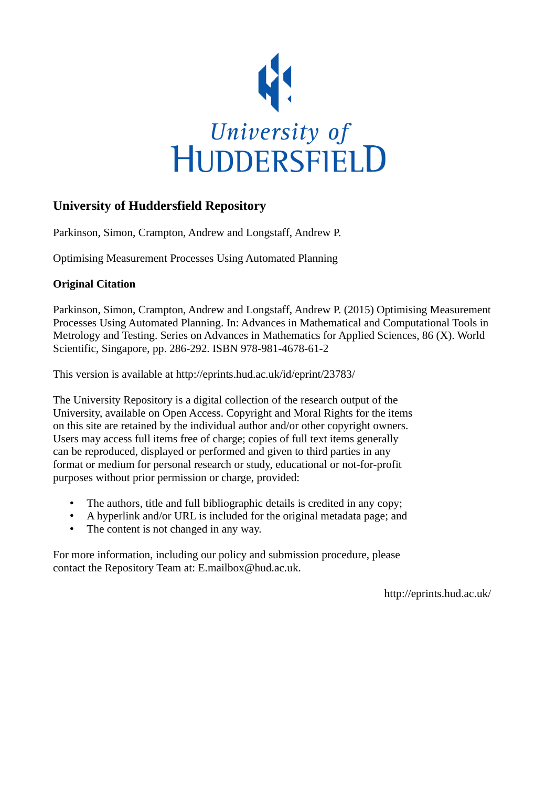

# **University of Huddersfield Repository**

Parkinson, Simon, Crampton, Andrew and Longstaff, Andrew P.

Optimising Measurement Processes Using Automated Planning

## **Original Citation**

Parkinson, Simon, Crampton, Andrew and Longstaff, Andrew P. (2015) Optimising Measurement Processes Using Automated Planning. In: Advances in Mathematical and Computational Tools in Metrology and Testing. Series on Advances in Mathematics for Applied Sciences, 86 (X). World Scientific, Singapore, pp. 286-292. ISBN 978-981-4678-61-2

This version is available at http://eprints.hud.ac.uk/id/eprint/23783/

The University Repository is a digital collection of the research output of the University, available on Open Access. Copyright and Moral Rights for the items on this site are retained by the individual author and/or other copyright owners. Users may access full items free of charge; copies of full text items generally can be reproduced, displayed or performed and given to third parties in any format or medium for personal research or study, educational or not-for-profit purposes without prior permission or charge, provided:

- The authors, title and full bibliographic details is credited in any copy;
- A hyperlink and/or URL is included for the original metadata page; and
- The content is not changed in any way.

For more information, including our policy and submission procedure, please contact the Repository Team at: E.mailbox@hud.ac.uk.

http://eprints.hud.ac.uk/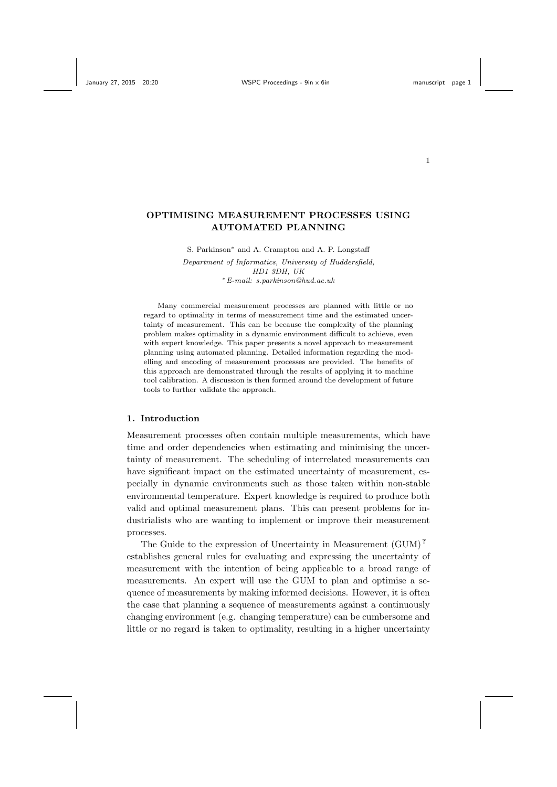#### 1

## OPTIMISING MEASUREMENT PROCESSES USING AUTOMATED PLANNING

S. Parkinson<sup>∗</sup> and A. Crampton and A. P. Longstaff

Department of Informatics, University of Huddersfield, HD1 3DH, UK <sup>∗</sup>E-mail: s.parkinson@hud.ac.uk

Many commercial measurement processes are planned with little or no regard to optimality in terms of measurement time and the estimated uncertainty of measurement. This can be because the complexity of the planning problem makes optimality in a dynamic environment difficult to achieve, even with expert knowledge. This paper presents a novel approach to measurement planning using automated planning. Detailed information regarding the modelling and encoding of measurement processes are provided. The benefits of this approach are demonstrated through the results of applying it to machine tool calibration. A discussion is then formed around the development of future tools to further validate the approach.

#### 1. Introduction

Measurement processes often contain multiple measurements, which have time and order dependencies when estimating and minimising the uncertainty of measurement. The scheduling of interrelated measurements can have significant impact on the estimated uncertainty of measurement, especially in dynamic environments such as those taken within non-stable environmental temperature. Expert knowledge is required to produce both valid and optimal measurement plans. This can present problems for industrialists who are wanting to implement or improve their measurement processes.

The Guide to the expression of Uncertainty in Measurement (GUM) ? establishes general rules for evaluating and expressing the uncertainty of measurement with the intention of being applicable to a broad range of measurements. An expert will use the GUM to plan and optimise a sequence of measurements by making informed decisions. However, it is often the case that planning a sequence of measurements against a continuously changing environment (e.g. changing temperature) can be cumbersome and little or no regard is taken to optimality, resulting in a higher uncertainty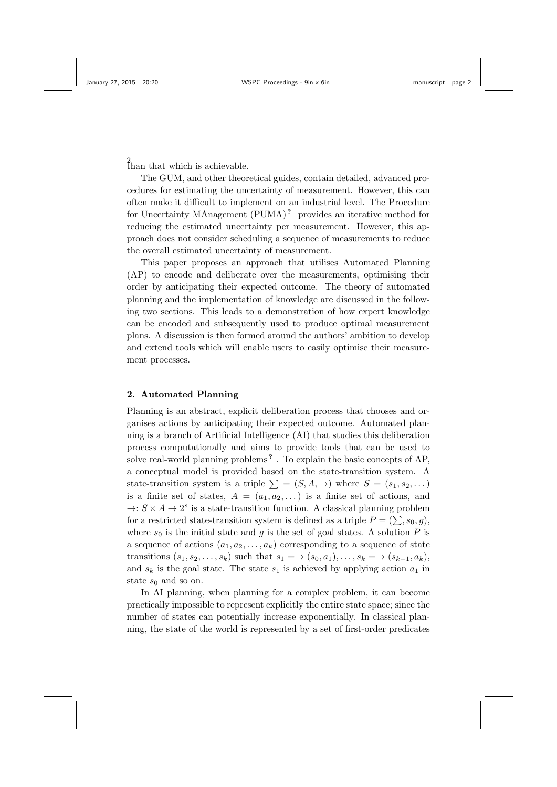2 than that which is achievable.

The GUM, and other theoretical guides, contain detailed, advanced procedures for estimating the uncertainty of measurement. However, this can often make it difficult to implement on an industrial level. The Procedure for Uncertainty MAnagement (PUMA) ? provides an iterative method for reducing the estimated uncertainty per measurement. However, this approach does not consider scheduling a sequence of measurements to reduce the overall estimated uncertainty of measurement.

This paper proposes an approach that utilises Automated Planning (AP) to encode and deliberate over the measurements, optimising their order by anticipating their expected outcome. The theory of automated planning and the implementation of knowledge are discussed in the following two sections. This leads to a demonstration of how expert knowledge can be encoded and subsequently used to produce optimal measurement plans. A discussion is then formed around the authors' ambition to develop and extend tools which will enable users to easily optimise their measurement processes.

## 2. Automated Planning

Planning is an abstract, explicit deliberation process that chooses and organises actions by anticipating their expected outcome. Automated planning is a branch of Artificial Intelligence (AI) that studies this deliberation process computationally and aims to provide tools that can be used to solve real-world planning problems<sup>?</sup>. To explain the basic concepts of AP, a conceptual model is provided based on the state-transition system. A state-transition system is a triple  $\sum = (S, A, \rightarrow)$  where  $S = (s_1, s_2, \dots)$ is a finite set of states,  $A = (a_1, a_2, \dots)$  is a finite set of actions, and  $\rightarrow: S \times A \rightarrow 2^s$  is a state-transition function. A classical planning problem for a restricted state-transition system is defined as a triple  $P = (\sum, s_0, g)$ , where  $s_0$  is the initial state and g is the set of goal states. A solution P is a sequence of actions  $(a_1, a_2, \ldots, a_k)$  corresponding to a sequence of state transitions  $(s_1, s_2, \ldots, s_k)$  such that  $s_1 = \rightarrow (s_0, a_1), \ldots, s_k = \rightarrow (s_{k-1}, a_k)$ , and  $s_k$  is the goal state. The state  $s_1$  is achieved by applying action  $a_1$  in state  $s_0$  and so on.

In AI planning, when planning for a complex problem, it can become practically impossible to represent explicitly the entire state space; since the number of states can potentially increase exponentially. In classical planning, the state of the world is represented by a set of first-order predicates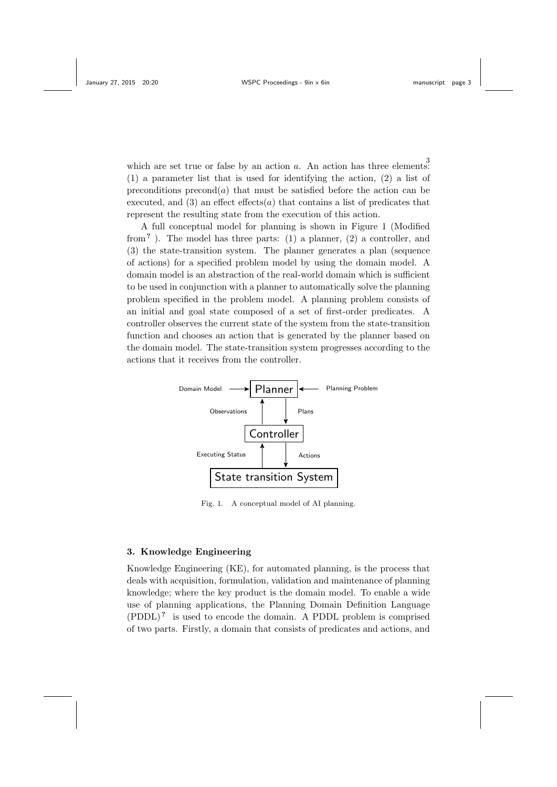which are set true or false by an action a. An action has three elements: (1) a parameter list that is used for identifying the action, (2) a list of preconditions precond(a) that must be satisfied before the action can be executed, and  $(3)$  an effect effects $(a)$  that contains a list of predicates that represent the resulting state from the execution of this action.

A full conceptual model for planning is shown in Figure 1 (Modified from? ). The model has three parts: (1) a planner, (2) a controller, and (3) the state-transition system. The planner generates a plan (sequence of actions) for a specified problem model by using the domain model. A domain model is an abstraction of the real-world domain which is sufficient to be used in conjunction with a planner to automatically solve the planning problem specified in the problem model. A planning problem consists of an initial and goal state composed of a set of first-order predicates. A controller observes the current state of the system from the state-transition function and chooses an action that is generated by the planner based on the domain model. The state-transition system progresses according to the actions that it receives from the controller.



Fig. 1. A conceptual model of AI planning.

#### 3. Knowledge Engineering

Knowledge Engineering (KE), for automated planning, is the process that deals with acquisition, formulation, validation and maintenance of planning knowledge; where the key product is the domain model. To enable a wide use of planning applications, the Planning Domain Definition Language (PDDL)? is used to encode the domain. A PDDL problem is comprised of two parts. Firstly, a domain that consists of predicates and actions, and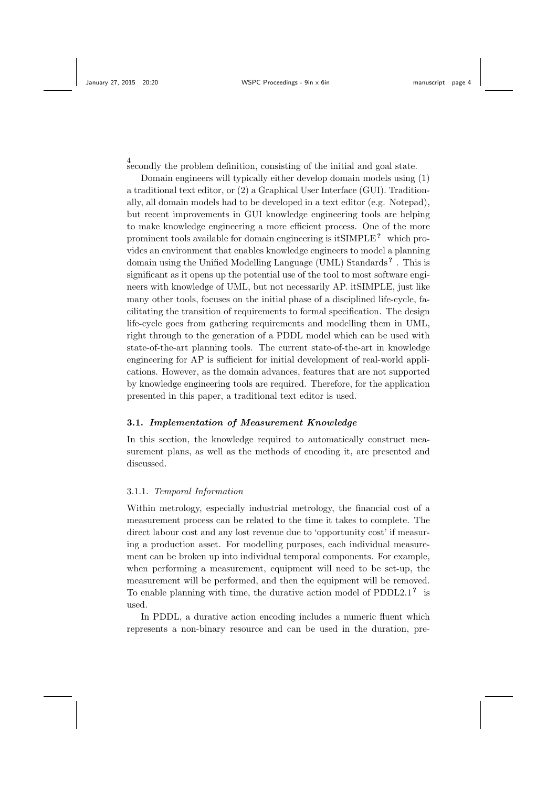4 secondly the problem definition, consisting of the initial and goal state.

Domain engineers will typically either develop domain models using (1) a traditional text editor, or (2) a Graphical User Interface (GUI). Traditionally, all domain models had to be developed in a text editor (e.g. Notepad), but recent improvements in GUI knowledge engineering tools are helping to make knowledge engineering a more efficient process. One of the more prominent tools available for domain engineering is itSIMPLE? which provides an environment that enables knowledge engineers to model a planning domain using the Unified Modelling Language (UML) Standards<sup>?</sup>. This is significant as it opens up the potential use of the tool to most software engineers with knowledge of UML, but not necessarily AP. itSIMPLE, just like many other tools, focuses on the initial phase of a disciplined life-cycle, facilitating the transition of requirements to formal specification. The design life-cycle goes from gathering requirements and modelling them in UML, right through to the generation of a PDDL model which can be used with state-of-the-art planning tools. The current state-of-the-art in knowledge engineering for AP is sufficient for initial development of real-world applications. However, as the domain advances, features that are not supported by knowledge engineering tools are required. Therefore, for the application presented in this paper, a traditional text editor is used.

## 3.1. Implementation of Measurement Knowledge

In this section, the knowledge required to automatically construct measurement plans, as well as the methods of encoding it, are presented and discussed.

#### 3.1.1. Temporal Information

Within metrology, especially industrial metrology, the financial cost of a measurement process can be related to the time it takes to complete. The direct labour cost and any lost revenue due to 'opportunity cost' if measuring a production asset. For modelling purposes, each individual measurement can be broken up into individual temporal components. For example, when performing a measurement, equipment will need to be set-up, the measurement will be performed, and then the equipment will be removed. To enable planning with time, the durative action model of  $\text{PDDL2.1}^?$  is used.

In PDDL, a durative action encoding includes a numeric fluent which represents a non-binary resource and can be used in the duration, pre-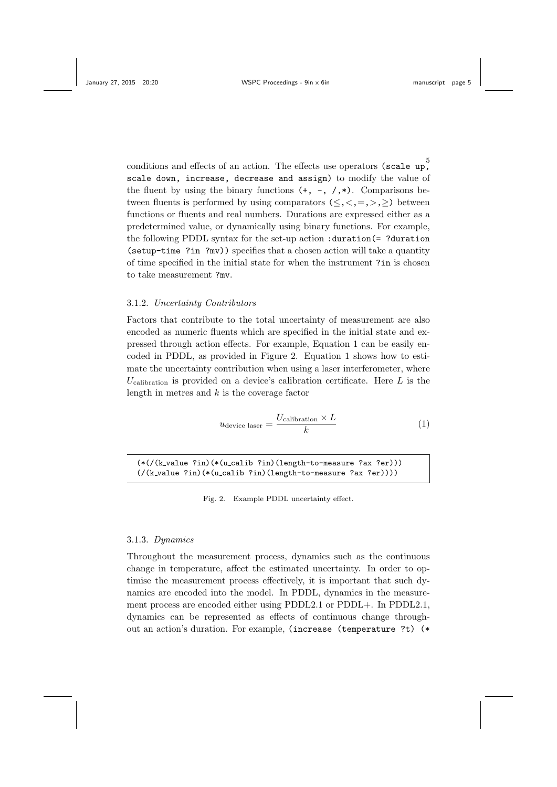5 conditions and effects of an action. The effects use operators (scale up, scale down, increase, decrease and assign) to modify the value of the fluent by using the binary functions  $(+, -, /, *)$ . Comparisons between fluents is performed by using comparators  $(\leq, \leq, =, >, \geq)$  between functions or fluents and real numbers. Durations are expressed either as a predetermined value, or dynamically using binary functions. For example, the following PDDL syntax for the set-up action :duration(= ?duration (setup-time ?in ?mv)) specifies that a chosen action will take a quantity of time specified in the initial state for when the instrument ?in is chosen to take measurement ?mv.

#### 3.1.2. Uncertainty Contributors

Factors that contribute to the total uncertainty of measurement are also encoded as numeric fluents which are specified in the initial state and expressed through action effects. For example, Equation 1 can be easily encoded in PDDL, as provided in Figure 2. Equation 1 shows how to estimate the uncertainty contribution when using a laser interferometer, where  $U_{\text{calibration}}$  is provided on a device's calibration certificate. Here  $L$  is the length in metres and  $k$  is the coverage factor

$$
u_{\text{device laser}} = \frac{U_{\text{calibration}} \times L}{k} \tag{1}
$$

(\*(/(k value ?in)(\*(u calib ?in)(length-to-measure ?ax ?er))) (/(k value ?in)(\*(u calib ?in)(length-to-measure ?ax ?er))))

Fig. 2. Example PDDL uncertainty effect.

#### 3.1.3. Dynamics

Throughout the measurement process, dynamics such as the continuous change in temperature, affect the estimated uncertainty. In order to optimise the measurement process effectively, it is important that such dynamics are encoded into the model. In PDDL, dynamics in the measurement process are encoded either using PDDL2.1 or PDDL+. In PDDL2.1, dynamics can be represented as effects of continuous change throughout an action's duration. For example, (increase (temperature ?t) (\*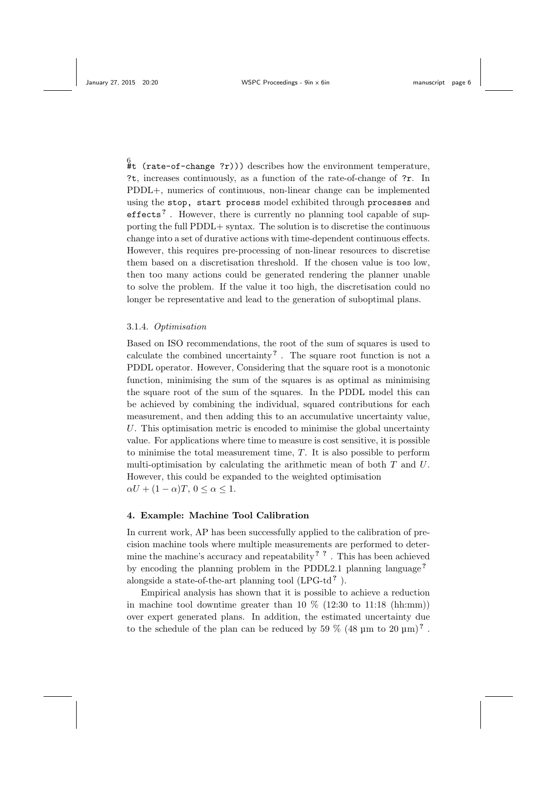6 #t (rate-of-change ?r))) describes how the environment temperature, ?t, increases continuously, as a function of the rate-of-change of ?r. In PDDL+, numerics of continuous, non-linear change can be implemented using the stop, start process model exhibited through processes and effects<sup>?</sup>. However, there is currently no planning tool capable of supporting the full PDDL+ syntax. The solution is to discretise the continuous change into a set of durative actions with time-dependent continuous effects. However, this requires pre-processing of non-linear resources to discretise them based on a discretisation threshold. If the chosen value is too low, then too many actions could be generated rendering the planner unable to solve the problem. If the value it too high, the discretisation could no longer be representative and lead to the generation of suboptimal plans.

#### 3.1.4. Optimisation

Based on ISO recommendations, the root of the sum of squares is used to calculate the combined uncertainty ? . The square root function is not a PDDL operator. However, Considering that the square root is a monotonic function, minimising the sum of the squares is as optimal as minimising the square root of the sum of the squares. In the PDDL model this can be achieved by combining the individual, squared contributions for each measurement, and then adding this to an accumulative uncertainty value, U. This optimisation metric is encoded to minimise the global uncertainty value. For applications where time to measure is cost sensitive, it is possible to minimise the total measurement time, T. It is also possible to perform multi-optimisation by calculating the arithmetic mean of both T and U. However, this could be expanded to the weighted optimisation  $\alpha U + (1 - \alpha)T, 0 \leq \alpha \leq 1.$ 

## 4. Example: Machine Tool Calibration

In current work, AP has been successfully applied to the calibration of precision machine tools where multiple measurements are performed to determine the machine's accuracy and repeatability ? ? . This has been achieved by encoding the planning problem in the PDDL2.1 planning language ? alongside a state-of-the-art planning tool  $(LPG<sup>2</sup>)$ .

Empirical analysis has shown that it is possible to achieve a reduction in machine tool downtime greater than 10  $\%$  (12:30 to 11:18 (hh:mm)) over expert generated plans. In addition, the estimated uncertainty due to the schedule of the plan can be reduced by 59  $\%$  (48 µm to 20 µm)<sup>?</sup>.